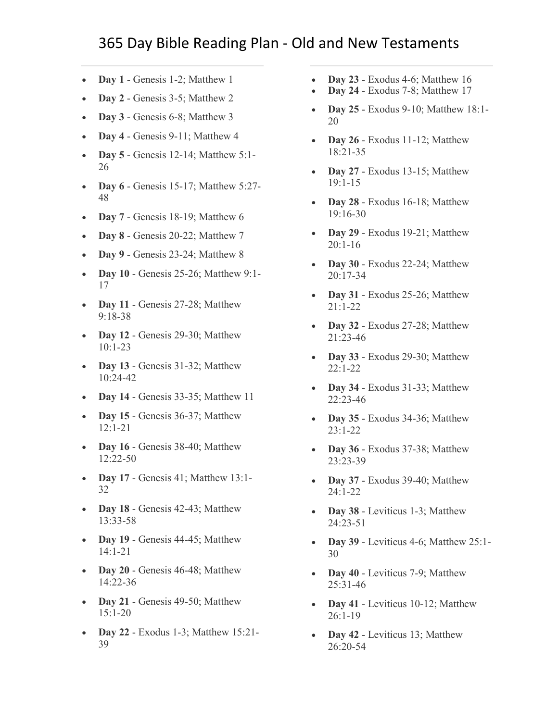- **Day 1** [Genesis 1-2; Matthew 1](https://www.biblestudytools.com/passage/?q=Genesis+1:1-31;+Genesis+2:1-25;+Matthew+1:1-25)
- **Day 2** [Genesis 3-5; Matthew 2](https://www.biblestudytools.com/passage/?q=Genesis+3:1-24;+Genesis+4:1-26;+Genesis+5:1-32;+Matthew+2:1-23)
- **Day 3** [Genesis 6-8; Matthew 3](https://www.biblestudytools.com/passage/?q=Genesis+6:1-22;+Genesis+7:1-24;+Genesis+8:1-22;+Matthew+3:1-17)
- **Day 4** [Genesis 9-11; Matthew 4](https://www.biblestudytools.com/passage/?q=Genesis+9:1-29;+Genesis+10:1-32;+Genesis+11:1-32;+Matthew+4:1-25)
- **Day 5** [Genesis 12-14; Matthew 5:1-](https://www.biblestudytools.com/passage/?q=Genesis+12:1-20;+Genesis+13:1-18;+Genesis+14:1-24;+Matthew+5:1-26) [26](https://www.biblestudytools.com/passage/?q=Genesis+12:1-20;+Genesis+13:1-18;+Genesis+14:1-24;+Matthew+5:1-26)
- **Day 6** [Genesis 15-17; Matthew 5:27-](https://www.biblestudytools.com/passage/?q=Genesis+15:1-21;+Genesis+16:1-16;+Genesis+17:1-27;+Matthew+5:27-48) [48](https://www.biblestudytools.com/passage/?q=Genesis+15:1-21;+Genesis+16:1-16;+Genesis+17:1-27;+Matthew+5:27-48)
- **Day 7** [Genesis 18-19; Matthew 6](https://www.biblestudytools.com/passage/?q=Genesis+18:1-33;+Genesis+19:1-38;+Matthew+6:1-34)
- **Day 8** [Genesis 20-22; Matthew 7](https://www.biblestudytools.com/passage/?q=Genesis+20:1-18;+Genesis+21:1-34;+Genesis+22:1-24;+Matthew+7:1-29)
- **Day 9** [Genesis 23-24; Matthew 8](https://www.biblestudytools.com/passage/?q=Genesis+23:1-20;+Genesis+24:1-67;+Matthew+8:1-34)
- **Day 10** [Genesis 25-26; Matthew 9:1-](https://www.biblestudytools.com/passage/?q=Genesis+25:1-34;+Genesis+26:1-35;+Matthew+9:1-17) [17](https://www.biblestudytools.com/passage/?q=Genesis+25:1-34;+Genesis+26:1-35;+Matthew+9:1-17)
- **Day 11** Genesis 27-28; Matthew [9:18-38](https://www.biblestudytools.com/passage/?q=Genesis+27:1-46;+Genesis+28:1-22;+Matthew+9:18-38)
- **Day 12** [Genesis 29-30; Matthew](https://www.biblestudytools.com/passage/?q=Genesis+29:1-35;+Genesis+30:1-43;+Matthew+10:1-23)  [10:1-23](https://www.biblestudytools.com/passage/?q=Genesis+29:1-35;+Genesis+30:1-43;+Matthew+10:1-23)
- **Day 13** Genesis 31-32; Matthew [10:24-42](https://www.biblestudytools.com/passage/?q=Genesis+31:1-55;+Genesis+32:1-32;+Matthew+10:24-42)
- **Day 14** [Genesis 33-35; Matthew 11](https://www.biblestudytools.com/passage/?q=Genesis+33:1-20;+Genesis+34:1-31;+Genesis+35:1-29;+Matthew+11:1-30)
- **Day 15** Genesis 36-37; Matthew [12:1-21](https://www.biblestudytools.com/passage/?q=Genesis+36:1-43;+Genesis+37:1-36;+Matthew+12:1-21)
- **Day 16** Genesis 38-40; Matthew [12:22-50](https://www.biblestudytools.com/passage/?q=Genesis+38:1-30;+Genesis+39:1-23;+Genesis+40:1-23;+Matthew+12:22-50)
- **Day 17** [Genesis 41; Matthew 13:1-](https://www.biblestudytools.com/passage/?q=Genesis+41:1-57;+Matthew+13:1-32) [32](https://www.biblestudytools.com/passage/?q=Genesis+41:1-57;+Matthew+13:1-32)
- **Day 18** Genesis [42-43; Matthew](https://www.biblestudytools.com/passage/?q=Genesis+42:1-38;+Genesis+43:1-34;+Matthew+13:33-58)  [13:33-58](https://www.biblestudytools.com/passage/?q=Genesis+42:1-38;+Genesis+43:1-34;+Matthew+13:33-58)
- **Day 19** [Genesis 44-45; Matthew](https://www.biblestudytools.com/passage/?q=Genesis+44:1-34;+Genesis+45:1-28;+Matthew+14:1-21)  [14:1-21](https://www.biblestudytools.com/passage/?q=Genesis+44:1-34;+Genesis+45:1-28;+Matthew+14:1-21)
- **Day 20** [Genesis 46-48; Matthew](https://www.biblestudytools.com/passage/?q=Genesis+46:1-34;+Genesis+47:1-31;+Genesis+48:1-22;+Matthew+14:22-36)  [14:22-36](https://www.biblestudytools.com/passage/?q=Genesis+46:1-34;+Genesis+47:1-31;+Genesis+48:1-22;+Matthew+14:22-36)
- **Day 21** Genesis 49-50; Matthew [15:1-20](https://www.biblestudytools.com/passage/?q=Genesis+49:1-33;+Genesis+50:1-26;+Matthew+15:1-20)
- **Day 22** [Exodus 1-3; Matthew 15:21-](https://www.biblestudytools.com/passage/?q=Exodus+1:1-22;+Exodus+2:1-25;+Exodus+3:1-22;+Matthew+15:21-39) [39](https://www.biblestudytools.com/passage/?q=Exodus+1:1-22;+Exodus+2:1-25;+Exodus+3:1-22;+Matthew+15:21-39)
- **Day 23** [Exodus 4-6; Matthew 16](https://www.biblestudytools.com/passage/?q=Exodus+4:1-31;+Exodus+5:1-23;+Exodus+6:1-30;+Matthew+16:1-28)
- **Day 24** [Exodus 7-8; Matthew 17](https://www.biblestudytools.com/passage/?q=Exodus+7:1-25;+Exodus+8:1-32;+Matthew+17:1-27)
- **Day 25** [Exodus 9-10; Matthew 18:1-](https://www.biblestudytools.com/passage/?q=Exodus+9:1-35;+Exodus+10:1-29;+Matthew+18:1-20) [20](https://www.biblestudytools.com/passage/?q=Exodus+9:1-35;+Exodus+10:1-29;+Matthew+18:1-20)
- **Day 26** [Exodus 11-12; Matthew](https://www.biblestudytools.com/passage/?q=Exodus+11:1-10;+Exodus+12:1-51;+Matthew+18:21-35)  [18:21-35](https://www.biblestudytools.com/passage/?q=Exodus+11:1-10;+Exodus+12:1-51;+Matthew+18:21-35)
- **Day 27** Exodus 13-15; Matthew [19:1-15](https://www.biblestudytools.com/passage/?q=Exodus+13:1-22;+Exodus+14:1-31;+Exodus+15:1-27;+Matthew+19:1-15)
- **Day 28** Exodus 16-18; Matthew [19:16-30](https://www.biblestudytools.com/passage/?q=Exodus+16:1-36;+Exodus+17:1-16;+Exodus+18:1-27;+Matthew+19:16-30)
- **Day 29** Exodus 19-21; Matthew [20:1-16](https://www.biblestudytools.com/passage/?q=Exodus+19:1-25;+Exodus+20:1-26;+Exodus+21:1-36;+Matthew+20:1-16)
- **Day 30** [Exodus 22-24; Matthew](https://www.biblestudytools.com/passage/?q=Exodus+22:1-31;+Exodus+23:1-33;+Exodus+24:1-18;+Matthew+20:17-34)  [20:17-34](https://www.biblestudytools.com/passage/?q=Exodus+22:1-31;+Exodus+23:1-33;+Exodus+24:1-18;+Matthew+20:17-34)
- **Day 31** [Exodus 25-26; Matthew](https://www.biblestudytools.com/passage/?q=Exodus+25:1-40;+Exodus+26:1-37;+Matthew+21:1-22)  [21:1-22](https://www.biblestudytools.com/passage/?q=Exodus+25:1-40;+Exodus+26:1-37;+Matthew+21:1-22)
- **Day 32** [Exodus 27-28; Matthew](https://www.biblestudytools.com/passage/?q=Exodus+27:1-21;+Exodus+28:1-43;+Matthew+21:23-46)  [21:23-46](https://www.biblestudytools.com/passage/?q=Exodus+27:1-21;+Exodus+28:1-43;+Matthew+21:23-46)
- **Day 33** Exodus 29-30; Matthew [22:1-22](https://www.biblestudytools.com/passage/?q=Exodus+29:1-46;+Exodus+30:1-38;+Matthew+22:1-22)
- **Day 34** Exodus 31-33; Matthew [22:23-46](https://www.biblestudytools.com/passage/?q=Exodus+31:1-18;+Exodus+32:1-35;+Exodus+33:1-23;+Matthew+22:23-46)
- **Day 35** [Exodus 34-36; Matthew](https://www.biblestudytools.com/passage/?q=Exodus+34:1-35;+Exodus+35:1-35;+Exodus+36:1-38;+Matthew+23:1-22)  [23:1-22](https://www.biblestudytools.com/passage/?q=Exodus+34:1-35;+Exodus+35:1-35;+Exodus+36:1-38;+Matthew+23:1-22)
- **Day 36** [Exodus 37-38; Matthew](https://www.biblestudytools.com/passage/?q=Exodus+37:1-29;+Exodus+38:1-31;+Matthew+23:23-39)  [23:23-39](https://www.biblestudytools.com/passage/?q=Exodus+37:1-29;+Exodus+38:1-31;+Matthew+23:23-39)
- **Day 37** [Exodus 39-40; Matthew](https://www.biblestudytools.com/passage/?q=Exodus+39:1-43;+Exodus+40:1-38;+Matthew+24:1-22)  [24:1-22](https://www.biblestudytools.com/passage/?q=Exodus+39:1-43;+Exodus+40:1-38;+Matthew+24:1-22)
- **Day 38** Leviticus 1-3; Matthew [24:23-51](https://www.biblestudytools.com/passage/?q=Leviticus+1:1-17;+Leviticus+2:1-16;+Leviticus+3:1-17;+Matthew+24:23-51)
- **Day 39** [Leviticus 4-6; Matthew 25:1-](https://www.biblestudytools.com/passage/?q=Leviticus+4:1-35;+Leviticus+5:1-19;+Leviticus+6:1-30;+Matthew+25:1-30) [30](https://www.biblestudytools.com/passage/?q=Leviticus+4:1-35;+Leviticus+5:1-19;+Leviticus+6:1-30;+Matthew+25:1-30)
- **Day 40** Leviticus 7-9; Matthew [25:31-46](https://www.biblestudytools.com/passage/?q=Leviticus+7:1-38;+Leviticus+8:1-36;+Leviticus+9:1-24;+Matthew+25:31-46)
- **Day 41** Leviticus 10-12; Matthew [26:1-19](https://www.biblestudytools.com/passage/?q=Leviticus+10:1-20;+Leviticus+11:1-47;+Leviticus+12:1-8;+Matthew+26:1-19)
- **Day 42** [Leviticus 13; Matthew](https://www.biblestudytools.com/passage/?q=Leviticus+13:1-59;+Matthew+26:20-54)  [26:20-54](https://www.biblestudytools.com/passage/?q=Leviticus+13:1-59;+Matthew+26:20-54)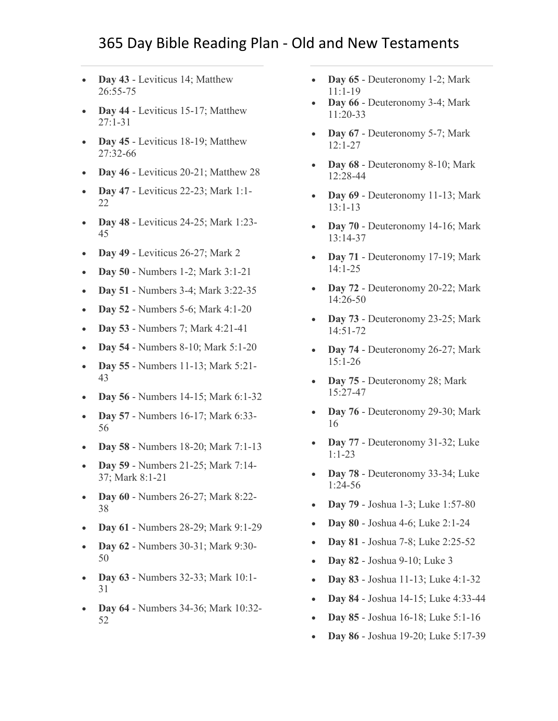- **Day 43** [Leviticus 14; Matthew](https://www.biblestudytools.com/passage/?q=Leviticus+14:1-57;+Matthew+26:55-75)  [26:55-75](https://www.biblestudytools.com/passage/?q=Leviticus+14:1-57;+Matthew+26:55-75)
- **Day 44** Leviticus 15-17; Matthew [27:1-31](https://www.biblestudytools.com/passage/?q=Leviticus+15:1-33;+Leviticus+16:1-34;+Leviticus+17:1-16;+Matthew+27:1-31)
- **Day 45** Leviticus 18-19; Matthew [27:32-66](https://www.biblestudytools.com/passage/?q=Leviticus+18:1-30;+Leviticus+19:1-37;+Matthew+27:32-66)
- **Day 46** [Leviticus 20-21; Matthew 28](https://www.biblestudytools.com/passage/?q=Leviticus+20:1-27;+Leviticus+21:1-24;+Matthew+28:1-20)
- **Day 47** [Leviticus 22-23; Mark 1:1-](https://www.biblestudytools.com/passage/?q=Leviticus+22:1-33;+Leviticus+23:1-44;+Mark+1:1-22) [22](https://www.biblestudytools.com/passage/?q=Leviticus+22:1-33;+Leviticus+23:1-44;+Mark+1:1-22)
- **Day 48** [Leviticus 24-25; Mark 1:23-](https://www.biblestudytools.com/passage/?q=Leviticus+24:1-23;+Leviticus+25:1-55;+Mark+1:23-45) [45](https://www.biblestudytools.com/passage/?q=Leviticus+24:1-23;+Leviticus+25:1-55;+Mark+1:23-45)
- **Day 49** [Leviticus 26-27; Mark 2](https://www.biblestudytools.com/passage/?q=Leviticus+26:1-46;+Leviticus+27:1-34;+Mark+2:1-28)
- **Day 50** [Numbers 1-2; Mark 3:1-21](https://www.biblestudytools.com/passage/?q=Numbers+1:1-54;+Numbers+2:1-34;+Mark+3:1-21)
- **Day 51** [Numbers 3-4; Mark 3:22-35](https://www.biblestudytools.com/passage/?q=Numbers+3:1-51;+Numbers+4:1-49;+Mark+3:22-35)
- **Day 52** [Numbers 5-6; Mark 4:1-20](https://www.biblestudytools.com/passage/?q=Numbers+5:1-31;+Numbers+6:1-27;+Mark+4:1-20)
- **Day 53** [Numbers 7; Mark 4:21-41](https://www.biblestudytools.com/passage/?q=Numbers+7:1-89;+Mark+4:21-41)
- **Day 54** [Numbers 8-10; Mark 5:1-20](https://www.biblestudytools.com/passage/?q=Numbers+8:1-26;+Numbers+9:1-23;+Numbers+10:1-36;+Mark+5:1-20)
- **Day 55** [Numbers 11-13; Mark 5:21-](https://www.biblestudytools.com/passage/?q=Numbers+11:1-35;+Numbers+12:1-16;+Numbers+13:1-34;+Mark+5:21-43) [43](https://www.biblestudytools.com/passage/?q=Numbers+11:1-35;+Numbers+12:1-16;+Numbers+13:1-34;+Mark+5:21-43)
- **Day 56** [Numbers 14-15; Mark 6:1-32](https://www.biblestudytools.com/passage/?q=Numbers+14:1-45;+Numbers+15:1-41;+Mark+6:1-32)
- **Day 57** [Numbers 16-17; Mark 6:33-](https://www.biblestudytools.com/passage/?q=Numbers+16:1-50;+Numbers+17:1-13;+Mark+6:33-56) [56](https://www.biblestudytools.com/passage/?q=Numbers+16:1-50;+Numbers+17:1-13;+Mark+6:33-56)
- **Day 58** [Numbers 18-20; Mark 7:1-13](https://www.biblestudytools.com/passage/?q=Numbers+18:1-32;+Numbers+19:1-22;+Numbers+20:1-30;+Mark+7:1-13)
- **Day 59** [Numbers 21-25; Mark 7:14-](https://www.biblestudytools.com/passage/?q=Numbers+21:1-35;+Numbers+22:1-41;+Numbers+23:1-30;+Numbers+24:1-25;+Numbers+25:1-18;+Mark+7:14-37;+Mark+8:1-21) [37; Mark 8:1-21](https://www.biblestudytools.com/passage/?q=Numbers+21:1-35;+Numbers+22:1-41;+Numbers+23:1-30;+Numbers+24:1-25;+Numbers+25:1-18;+Mark+7:14-37;+Mark+8:1-21)
- **Day 60** [Numbers 26-27; Mark 8:22-](https://www.biblestudytools.com/passage/?q=Numbers+26:1-65;+Numbers+27:1-23;+Mark+8:22-38) [38](https://www.biblestudytools.com/passage/?q=Numbers+26:1-65;+Numbers+27:1-23;+Mark+8:22-38)
- **Day 61** [Numbers 28-29; Mark 9:1-29](https://www.biblestudytools.com/passage/?q=Numbers+28:1-31;+Numbers+29:1-40;+Mark+9:1-29)
- **Day 62** [Numbers 30-31; Mark 9:30-](https://www.biblestudytools.com/passage/?q=Numbers+30:1-17;+Numbers+31:1-54;+Mark+9:30-50) [50](https://www.biblestudytools.com/passage/?q=Numbers+30:1-17;+Numbers+31:1-54;+Mark+9:30-50)
- **Day 63** [Numbers 32-33; Mark 10:1-](https://www.biblestudytools.com/passage/?q=Numbers+32:1-42;+Numbers+33:1-56;+Mark+10:1-31) [31](https://www.biblestudytools.com/passage/?q=Numbers+32:1-42;+Numbers+33:1-56;+Mark+10:1-31)
- **Day 64** [Numbers 34-36; Mark 10:32-](https://www.biblestudytools.com/passage/?q=Numbers+34:1-29;+Numbers+35:1-34;+Numbers+36:1-13;+Mark+10:32-52) [52](https://www.biblestudytools.com/passage/?q=Numbers+34:1-29;+Numbers+35:1-34;+Numbers+36:1-13;+Mark+10:32-52)
- **Day 65** [Deuteronomy 1-2; Mark](https://www.biblestudytools.com/passage/?q=Deuteronomy+1:1-46;+Deuteronomy+2:1-37;+Mark+11:1-19)  [11:1-19](https://www.biblestudytools.com/passage/?q=Deuteronomy+1:1-46;+Deuteronomy+2:1-37;+Mark+11:1-19)
- **Day 66** [Deuteronomy 3-4; Mark](https://www.biblestudytools.com/passage/?q=Deuteronomy+3:1-29;+Deuteronomy+4:1-49;+Mark+11:20-33)  [11:20-33](https://www.biblestudytools.com/passage/?q=Deuteronomy+3:1-29;+Deuteronomy+4:1-49;+Mark+11:20-33)
- **Day 67** [Deuteronomy 5-7; Mark](https://www.biblestudytools.com/passage/?q=Deuteronomy+5:1-33;+Deuteronomy+6:1-25;+Deuteronomy+7:1-26;+Mark+12:1-27)  [12:1-27](https://www.biblestudytools.com/passage/?q=Deuteronomy+5:1-33;+Deuteronomy+6:1-25;+Deuteronomy+7:1-26;+Mark+12:1-27)
- **Day 68** [Deuteronomy 8-10; Mark](https://www.biblestudytools.com/passage/?q=Deuteronomy+8:1-20;+Deuteronomy+9:1-29;+Deuteronomy+10:1-22;+Mark+12:28-44)  [12:28-44](https://www.biblestudytools.com/passage/?q=Deuteronomy+8:1-20;+Deuteronomy+9:1-29;+Deuteronomy+10:1-22;+Mark+12:28-44)
- **Day 69** [Deuteronomy 11-13; Mark](https://www.biblestudytools.com/passage/?q=Deuteronomy+11:1-32;+Deuteronomy+12:1-32;+Deuteronomy+13:1-18;+Mark+13:1-13)  [13:1-13](https://www.biblestudytools.com/passage/?q=Deuteronomy+11:1-32;+Deuteronomy+12:1-32;+Deuteronomy+13:1-18;+Mark+13:1-13)
- **Day 70** [Deuteronomy 14-16; Mark](https://www.biblestudytools.com/passage/?q=Deuteronomy+14:1-29;+Deuteronomy+15:1-23;+Deuteronomy+16:1-22;+Mark+13:14-37)  [13:14-37](https://www.biblestudytools.com/passage/?q=Deuteronomy+14:1-29;+Deuteronomy+15:1-23;+Deuteronomy+16:1-22;+Mark+13:14-37)
- **Day 71** [Deuteronomy 17-19; Mark](https://www.biblestudytools.com/passage/?q=Deuteronomy+17:1-20;+Deuteronomy+18:1-22;+Deuteronomy+19:1-21;+Mark+14:1-25)  [14:1-25](https://www.biblestudytools.com/passage/?q=Deuteronomy+17:1-20;+Deuteronomy+18:1-22;+Deuteronomy+19:1-21;+Mark+14:1-25)
- **Day 72** [Deuteronomy 20-22; Mark](https://www.biblestudytools.com/passage/?q=Deuteronomy+20:1-20;+Deuteronomy+21:1-23;+Deuteronomy+22:1-30;+Mark+14:26-50)  [14:26-50](https://www.biblestudytools.com/passage/?q=Deuteronomy+20:1-20;+Deuteronomy+21:1-23;+Deuteronomy+22:1-30;+Mark+14:26-50)
- **Day 73** [Deuteronomy 23-25; Mark](https://www.biblestudytools.com/passage/?q=Deuteronomy+23:1-25;+Deuteronomy+24:1-22;+Deuteronomy+25:1-19;+Mark+14:51-72)  [14:51-72](https://www.biblestudytools.com/passage/?q=Deuteronomy+23:1-25;+Deuteronomy+24:1-22;+Deuteronomy+25:1-19;+Mark+14:51-72)
- **Day 74** [Deuteronomy 26-27; Mark](https://www.biblestudytools.com/passage/?q=Deuteronomy+26:1-19;+Deuteronomy+27:1-26;+Mark+15:1-26)  [15:1-26](https://www.biblestudytools.com/passage/?q=Deuteronomy+26:1-19;+Deuteronomy+27:1-26;+Mark+15:1-26)
- **Day 75** [Deuteronomy 28; Mark](https://www.biblestudytools.com/passage/?q=Deuteronomy+28:1-68;+Mark+15:27-47)  [15:27-47](https://www.biblestudytools.com/passage/?q=Deuteronomy+28:1-68;+Mark+15:27-47)
- **Day 76** [Deuteronomy 29-30; Mark](https://www.biblestudytools.com/passage/?q=Deuteronomy+29:1-29;+Deuteronomy+30:1-20;+Mark+16:1-20)  [16](https://www.biblestudytools.com/passage/?q=Deuteronomy+29:1-29;+Deuteronomy+30:1-20;+Mark+16:1-20)
- **Day 77** Deuteronomy 31-32; Luke [1:1-23](https://www.biblestudytools.com/passage/?q=Deuteronomy+31:1-30;+Deuteronomy+32:1-52;+Luke+1:1-23)
- **Day 78** [Deuteronomy 33-34; Luke](https://www.biblestudytools.com/passage/?q=Deuteronomy+33:1-29;+Deuteronomy+34:1-12;+Luke+1:24-56)  [1:24-56](https://www.biblestudytools.com/passage/?q=Deuteronomy+33:1-29;+Deuteronomy+34:1-12;+Luke+1:24-56)
- **Day 79** [Joshua 1-3; Luke 1:57-80](https://www.biblestudytools.com/passage/?q=Joshua+1:1-18;+Joshua+2:1-24;+Joshua+3:1-17;+Luke+1:57-80)
- **Day 80** [Joshua 4-6; Luke 2:1-24](https://www.biblestudytools.com/passage/?q=Joshua+4:1-25;+Joshua+5:1-16;+Joshua+6:1-27;+Luke+2:1-24)
- **Day 81** [Joshua 7-8; Luke 2:25-52](https://www.biblestudytools.com/passage/?q=Joshua+7:1-26;+Joshua+8:1-35;+Luke+2:25-52)
- **Day 82** [Joshua 9-10; Luke 3](https://www.biblestudytools.com/passage/?q=Joshua+9:1-27;+Joshua+10:1-44;+Luke+3:1-38)
- **Day 83** [Joshua 11-13; Luke 4:1-32](https://www.biblestudytools.com/passage/?q=Joshua+11:1-23;+Joshua+12:1-24;+Joshua+13:1-33;+Luke+4:1-32)
- **Day 84** [Joshua 14-15; Luke 4:33-44](https://www.biblestudytools.com/passage/?q=Joshua+14:1-15;+Joshua+15:1-63;+Luke+4:33-44)
- **Day 85** [Joshua 16-18; Luke 5:1-16](https://www.biblestudytools.com/passage/?q=Joshua+16:1-10;+Joshua+17:1-18;+Joshua+18:1-28;+Luke+5:1-16)
- **Day 86** [Joshua 19-20; Luke 5:17-39](https://www.biblestudytools.com/passage/?q=Joshua+19:1-51;+Joshua+20:1-9;+Luke+5:17-39)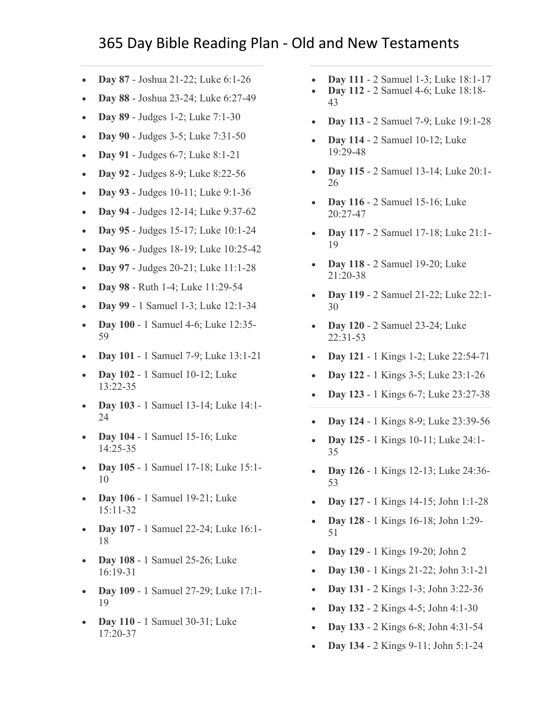- **Day 87** [Joshua 21-22; Luke 6:1-26](https://www.biblestudytools.com/passage/?q=Joshua+21:1-45;+Joshua+22:1-34;+Luke+6:1-26)
- **Day 88** [Joshua 23-24; Luke 6:27-49](https://www.biblestudytools.com/passage/?q=Joshua+23:1-16;+Joshua+24:1-33;+Luke+6:27-49)
- **Day 89** [Judges 1-2; Luke 7:1-30](https://www.biblestudytools.com/passage/?q=Judges+1:1-36;+Judges+2:1-23;+Luke+7:1-30)
- **Day 90** [Judges 3-5; Luke 7:31-50](https://www.biblestudytools.com/passage/?q=Judges+3:1-31;+Judges+4:1-24;+Judges+5:1-32;+Luke+7:31-50)
- **Day 91** [Judges 6-7; Luke 8:1-21](https://www.biblestudytools.com/passage/?q=Judges+6:1-40;+Judges+7:1-25;+Luke+8:1-21)
- **Day 92** [Judges 8-9; Luke 8:22-56](https://www.biblestudytools.com/passage/?q=Judges+8:1-35;+Judges+9:1-57;+Luke+8:22-56)
- **Day 93** [Judges 10-11; Luke 9:1-36](https://www.biblestudytools.com/passage/?q=Judges+10:1-18;+Judges+11:1-40;+Luke+9:1-36)
- **Day 94** [Judges 12-14; Luke 9:37-62](https://www.biblestudytools.com/passage/?q=Judges+12:1-15;+Judges+13:1-25;+Judges+14:1-20;+Luke+9:37-62)
- **Day 95** [Judges 15-17; Luke 10:1-24](https://www.biblestudytools.com/passage/?q=Judges+15:1-20;+Judges+16:1-31;+Judges+17:1-13;+Luke+10:1-24)
- **Day 96** [Judges 18-19; Luke 10:25-42](https://www.biblestudytools.com/passage/?q=Judges+18:1-31;+Judges+19:1-30;+Luke+10:25-42)
- **Day 97** [Judges 20-21; Luke 11:1-28](https://www.biblestudytools.com/passage/?q=Judges+20:1-48;+Judges+21:1-25;+Luke+11:1-28)
- **Day 98** [Ruth 1-4; Luke 11:29-54](https://www.biblestudytools.com/passage/?q=Ruth+1:1-22;+Luke+11:29-54;+Ruth+2:1-23;+Ruth+4:1-22;+Ruth+3:1-18)
- **Day 99** [1 Samuel 1-3; Luke 12:1-34](https://www.biblestudytools.com/passage/?q=1+Samuel+1:1-28;+1+Samuel+2:1-36;+1+Samuel+3:1-21;+Luke+12:1-34)
- **Day 100** [1 Samuel 4-6; Luke 12:35-](https://www.biblestudytools.com/passage/?q=1+Samuel+4:1-22;+1+Samuel+5:1-12;+1+Samuel+6:1-21;+Luke+12:35-59) [59](https://www.biblestudytools.com/passage/?q=1+Samuel+4:1-22;+1+Samuel+5:1-12;+1+Samuel+6:1-21;+Luke+12:35-59)
- **Day 101** [1 Samuel 7-9; Luke 13:1-21](https://www.biblestudytools.com/passage/?q=1+Samuel+7:1-17;+1+Samuel+8:1-22;+1+Samuel+9:1-27;+Luke+13:1-21)
- **Day 102** [1 Samuel 10-12; Luke](https://www.biblestudytools.com/passage/?q=1+Samuel+10:1-27;+1+Samuel+11:1-15;+1+Samuel+12:1-25;+Luke+13:22-35)  [13:22-35](https://www.biblestudytools.com/passage/?q=1+Samuel+10:1-27;+1+Samuel+11:1-15;+1+Samuel+12:1-25;+Luke+13:22-35)
- **Day 103** [1 Samuel 13-14; Luke 14:1-](https://www.biblestudytools.com/passage/?q=1+Samuel+13:1-23;+1+Samuel+14:1-52;+Luke+14:1-24) [24](https://www.biblestudytools.com/passage/?q=1+Samuel+13:1-23;+1+Samuel+14:1-52;+Luke+14:1-24)
- **Day 104** [1 Samuel 15-16; Luke](https://www.biblestudytools.com/passage/?q=1+Samuel+15:1-35;+1+Samuel+16:1-23;+Luke+14:25-35)  [14:25-35](https://www.biblestudytools.com/passage/?q=1+Samuel+15:1-35;+1+Samuel+16:1-23;+Luke+14:25-35)
- **Day 105** [1 Samuel 17-18; Luke 15:1-](https://www.biblestudytools.com/passage/?q=1+Samuel+17:1-58;+1+Samuel+18:1-30;+Luke+15:1-10) [10](https://www.biblestudytools.com/passage/?q=1+Samuel+17:1-58;+1+Samuel+18:1-30;+Luke+15:1-10)
- **Day 106** [1 Samuel 19-21; Luke](https://www.biblestudytools.com/passage/?q=1+Samuel+19:1-24;+1+Samuel+20:1-43;+1+Samuel+21:1-15;+Luke+15:11-32)  [15:11-32](https://www.biblestudytools.com/passage/?q=1+Samuel+19:1-24;+1+Samuel+20:1-43;+1+Samuel+21:1-15;+Luke+15:11-32)
- **Day 107** [1 Samuel 22-24; Luke 16:1-](https://www.biblestudytools.com/passage/?q=1+Samuel+22:1-23;+1+Samuel+23:1-29;+1+Samuel+24:1-23;+Luke+16:1-18) [18](https://www.biblestudytools.com/passage/?q=1+Samuel+22:1-23;+1+Samuel+23:1-29;+1+Samuel+24:1-23;+Luke+16:1-18)
- **Day 108** [1 Samuel 25-26; Luke](https://www.biblestudytools.com/passage/?q=1+Samuel+25:1-44;+1+Samuel+26:1-25;+Luke+16:19-31)  [16:19-31](https://www.biblestudytools.com/passage/?q=1+Samuel+25:1-44;+1+Samuel+26:1-25;+Luke+16:19-31)
- **Day 109** [1 Samuel 27-29; Luke 17:1-](https://www.biblestudytools.com/passage/?q=1+Samuel+27:1-12;+1+Samuel+28:1-25;+1+Samuel+29:1-11;+Luke+17:1-19) [19](https://www.biblestudytools.com/passage/?q=1+Samuel+27:1-12;+1+Samuel+28:1-25;+1+Samuel+29:1-11;+Luke+17:1-19)
- **Day 110** [1 Samuel 30-31; Luke](https://www.biblestudytools.com/passage/?q=1+Samuel+30:1-31;+1+Samuel+31:1-13;+Luke+17:20-37)  [17:20-37](https://www.biblestudytools.com/passage/?q=1+Samuel+30:1-31;+1+Samuel+31:1-13;+Luke+17:20-37)
- **Day 111** [2 Samuel 1-3; Luke 18:1-17](https://www.biblestudytools.com/passage/?q=2+Samuel+1:1-27;+2+Samuel+2:1-32;+2+Samuel+3:1-39;+Luke+18:1-17)
- **Day 112** [2 Samuel 4-6; Luke 18:18-](https://www.biblestudytools.com/passage/?q=2+Samuel+4:1-12;+2+Samuel+5:1-25;+2+Samuel+6:1-23;+Luke+18:18-43) [43](https://www.biblestudytools.com/passage/?q=2+Samuel+4:1-12;+2+Samuel+5:1-25;+2+Samuel+6:1-23;+Luke+18:18-43)
- **Day 113** [2 Samuel 7-9; Luke 19:1-28](https://www.biblestudytools.com/passage/?q=2+Samuel+7:1-29;+2+Samuel+8:1-18;+2+Samuel+9:1-13;+Luke+19:1-28)
- **Day 114** [2 Samuel 10-12; Luke](https://www.biblestudytools.com/passage/?q=2+Samuel+10:1-19;+2+Samuel+11:1-27;+2+Samuel+12:1-31;+Luke+19:29-48)  [19:29-48](https://www.biblestudytools.com/passage/?q=2+Samuel+10:1-19;+2+Samuel+11:1-27;+2+Samuel+12:1-31;+Luke+19:29-48)
- **Day 115** [2 Samuel 13-14; Luke 20:1-](https://www.biblestudytools.com/passage/?q=2+Samuel+13:1-39;+2+Samuel+14:1-33;+Luke+20:1-26) [26](https://www.biblestudytools.com/passage/?q=2+Samuel+13:1-39;+2+Samuel+14:1-33;+Luke+20:1-26)
- **Day 116** [2 Samuel 15-16; Luke](https://www.biblestudytools.com/passage/?q=2+Samuel+15:1-37;+2+Samuel+16:1-23;+Luke+20:27-47)  [20:27-47](https://www.biblestudytools.com/passage/?q=2+Samuel+15:1-37;+2+Samuel+16:1-23;+Luke+20:27-47)
- **Day 117** [2 Samuel 17-18; Luke 21:1-](https://www.biblestudytools.com/passage/?q=2+Samuel+17:1-29;+2+Samuel+18:1-33;+Luke+21:1-19) [19](https://www.biblestudytools.com/passage/?q=2+Samuel+17:1-29;+2+Samuel+18:1-33;+Luke+21:1-19)
- **Day 118** [2 Samuel 19-20; Luke](https://www.biblestudytools.com/passage/?q=2+Samuel+19:1-43;+2+Samuel+20:1-26;+Luke+21:20-38)  [21:20-38](https://www.biblestudytools.com/passage/?q=2+Samuel+19:1-43;+2+Samuel+20:1-26;+Luke+21:20-38)
- **Day 119** [2 Samuel 21-22; Luke 22:1-](https://www.biblestudytools.com/passage/?q=2+Samuel+21:1-22;+2+Samuel+22:1-51;+Luke+22:1-30) [30](https://www.biblestudytools.com/passage/?q=2+Samuel+21:1-22;+2+Samuel+22:1-51;+Luke+22:1-30)
- **Day 120** [2 Samuel 23-24; Luke](https://www.biblestudytools.com/passage/?q=2+Samuel+23:1-39;+2+Samuel+24:1-25;+Luke+22:31-53)  [22:31-53](https://www.biblestudytools.com/passage/?q=2+Samuel+23:1-39;+2+Samuel+24:1-25;+Luke+22:31-53)
- **Day 121** 1 [Kings 1-2; Luke 22:54-71](https://www.biblestudytools.com/passage/?q=1+Kings+1:1-53;+1+Kings+2:1-46;+Luke+22:54-71)
- **Day 122** [1 Kings 3-5; Luke 23:1-26](https://www.biblestudytools.com/passage/?q=1+Kings+3:1-28;+1+Kings+4:1-34;+1+Kings+5:1-18;+Luke+23:1-26)
- **Day 123** [1 Kings 6-7; Luke 23:27-38](https://www.biblestudytools.com/passage/?q=1+Kings+6:1-38;+1+Kings+7:1-51;+Luke+23:27-38)
- **Day 124** [1 Kings 8-9; Luke 23:39-56](https://www.biblestudytools.com/passage/?q=1+Kings+8:1-66;+1+Kings+9:1-28;+Luke+23:39-56)
- **Day 125** [1 Kings 10-11; Luke 24:1-](https://www.biblestudytools.com/passage/?q=1+Kings+10:1-29;+1+Kings+11:1-43;+Luke+24:1-35) [35](https://www.biblestudytools.com/passage/?q=1+Kings+10:1-29;+1+Kings+11:1-43;+Luke+24:1-35)
- **Day 126** [1 Kings 12-13; Luke 24:36-](https://www.biblestudytools.com/passage/?q=1+Kings+12:1-33;+1+Kings+13:1-34;+Luke+24:36-53) [53](https://www.biblestudytools.com/passage/?q=1+Kings+12:1-33;+1+Kings+13:1-34;+Luke+24:36-53)
- **Day 127** [1 Kings 14-15; John 1:1-28](https://www.biblestudytools.com/passage/?q=1+Kings+14:1-31;+1+Kings+15:1-34;+John+1:1-28)
- **Day 128** [1 Kings 16-18; John 1:29-](https://www.biblestudytools.com/passage/?q=1+Kings+16:1-34;+1+Kings+17:1-24;+1+Kings+18:1-46;+John+1:29-51) [51](https://www.biblestudytools.com/passage/?q=1+Kings+16:1-34;+1+Kings+17:1-24;+1+Kings+18:1-46;+John+1:29-51)
- **Day 129** [1 Kings 19-20; John 2](https://www.biblestudytools.com/passage/?q=1+Kings+19:1-21;+1+Kings+20:1-43;+John+2:1-25)
- **Day 130** [1 Kings 21-22; John 3:1-21](https://www.biblestudytools.com/passage/?q=1+Kings+21:1-29;+1+Kings+22:1-54;+John+3:1-21)
- **Day 131** [2 Kings 1-3; John 3:22-36](https://www.biblestudytools.com/passage/?q=2+Kings+1:1-18;+2+Kings+2:1-25;+2+Kings+3:1-27;+John+3:22-36)
- **Day 132** [2 Kings 4-5; John 4:1-30](https://www.biblestudytools.com/passage/?q=2+Kings+4:1-44;+2+Kings+5:1-27;+John+4:1-30)
- **Day 133** [2 Kings 6-8; John 4:31-54](https://www.biblestudytools.com/passage/?q=2+Kings+6:1-33;+2+Kings+7:1-20;+2+Kings+8:1-29;+John+4:31-54)
- **Day 134** [2 Kings 9-11; John 5:1-24](https://www.biblestudytools.com/passage/?q=2+Kings+9:1-37;+2+Kings+10:1-36;+2+Kings+11:1-21;+John+5:1-24)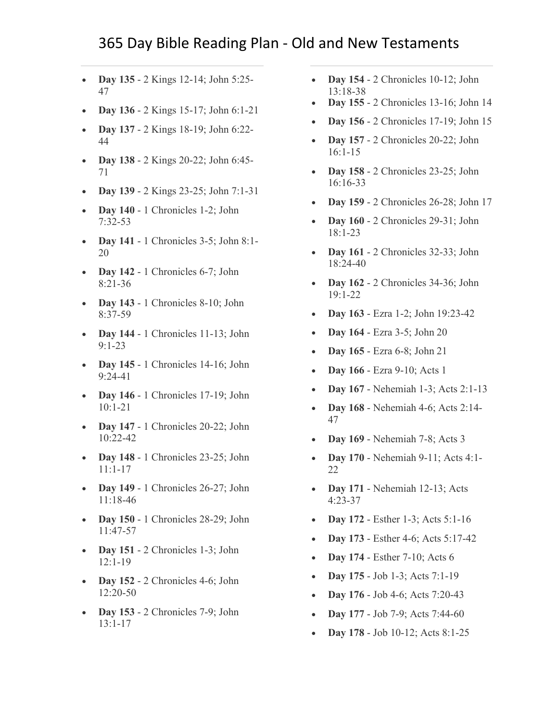- **Day 135** [2 Kings 12-14; John 5:25-](https://www.biblestudytools.com/passage/?q=2+Kings+12:1-21;+2+Kings+13:1-25;+2+Kings+14:1-29;+John+5:25-47) [47](https://www.biblestudytools.com/passage/?q=2+Kings+12:1-21;+2+Kings+13:1-25;+2+Kings+14:1-29;+John+5:25-47)
- **Day 136** [2 Kings 15-17; John 6:1-21](https://www.biblestudytools.com/passage/?q=2+Kings+15:1-38;+2+Kings+16:1-20;+2+Kings+17:1-41;+John+6:1-21)
- **Day 137** [2 Kings 18-19; John 6:22-](https://www.biblestudytools.com/passage/?q=2+Kings+18:1-37;+2+Kings+19:1-37;+John+6:22-44) [44](https://www.biblestudytools.com/passage/?q=2+Kings+18:1-37;+2+Kings+19:1-37;+John+6:22-44)
- **Day 138** [2 Kings 20-22; John 6:45-](https://www.biblestudytools.com/passage/?q=2+Kings+20:1-21;+2+Kings+21:1-26;+2+Kings+22:1-20;+John+6:45-71) [71](https://www.biblestudytools.com/passage/?q=2+Kings+20:1-21;+2+Kings+21:1-26;+2+Kings+22:1-20;+John+6:45-71)
- **Day 139** [2 Kings 23-25; John 7:1-31](https://www.biblestudytools.com/passage/?q=2+Kings+23:1-37;+2+Kings+24:1-20;+2+Kings+25:1-30;+John+7:1-31)
- **Day 140** [1 Chronicles 1-2; John](https://www.biblestudytools.com/passage/?q=1+Chronicles+1:1-54;+1+Chronicles+2:1-55;+John+7:32-53)  [7:32-53](https://www.biblestudytools.com/passage/?q=1+Chronicles+1:1-54;+1+Chronicles+2:1-55;+John+7:32-53)
- **Day 141** [1 Chronicles 3-5; John 8:1-](https://www.biblestudytools.com/passage/?q=1+Chronicles+3:1-24;+1+Chronicles+4:1-43;+1+Chronicles+5:1-26;+John+8:1-20) [20](https://www.biblestudytools.com/passage/?q=1+Chronicles+3:1-24;+1+Chronicles+4:1-43;+1+Chronicles+5:1-26;+John+8:1-20)
- **Day 142** 1 Chronicles 6-7; John [8:21-36](https://www.biblestudytools.com/passage/?q=1+Chronicles+6:1-81;+1+Chronicles+7:1-40;+John+8:21-36)
- **Day 143** 1 Chronicles 8-10; John [8:37-59](https://www.biblestudytools.com/passage/?q=1+Chronicles+8:1-40;+1+Chronicles+9:1-44;+1+Chronicles+10:1-14;+John+8:37-59)
- **Day 144** 1 Chronicles 11-13; John [9:1-23](https://www.biblestudytools.com/passage/?q=1+Chronicles+11:1-47;+1+Chronicles+12:1-40;+1+Chronicles+13:1-14;+John+9:1-23)
- **Day 145** 1 Chronicles 14-16; John [9:24-41](https://www.biblestudytools.com/passage/?q=1+Chronicles+14:1-17;+1+Chronicles+15:1-29;+1+Chronicles+16:1-43;+John+9:24-41)
- **Day 146** [1 Chronicles 17-19;](https://www.biblestudytools.com/passage/?q=1+Chronicles+17:1-27;+1+Chronicles+18:1-17;+1+Chronicles+19:1-20;+John+10:1-21) John [10:1-21](https://www.biblestudytools.com/passage/?q=1+Chronicles+17:1-27;+1+Chronicles+18:1-17;+1+Chronicles+19:1-20;+John+10:1-21)
- **Day 147** 1 Chronicles 20-22; John [10:22-42](https://www.biblestudytools.com/passage/?q=1+Chronicles+20:1-8;+1+Chronicles+21:1-30;+1+Chronicles+22:1-19;+John+10:22-42)
- **Day 148** [1 Chronicles 23-25; John](https://www.biblestudytools.com/passage/?q=1+Chronicles+23:1-32;+1+Chronicles+24:1-31;+1+Chronicles+25:1-31;+John+11:1-17)  [11:1-17](https://www.biblestudytools.com/passage/?q=1+Chronicles+23:1-32;+1+Chronicles+24:1-31;+1+Chronicles+25:1-31;+John+11:1-17)
- **Day 149** 1 Chronicles 26-27; John [11:18-46](https://www.biblestudytools.com/passage/?q=1+Chronicles+26:1-32;+1+Chronicles+27:1-34;+John+11:18-46)
- **Day 150** [1 Chronicles 28-29; John](https://www.biblestudytools.com/passage/?q=1+Chronicles+28:1-21;+1+Chronicles+29:1-30;+John+11:47-57)  [11:47-57](https://www.biblestudytools.com/passage/?q=1+Chronicles+28:1-21;+1+Chronicles+29:1-30;+John+11:47-57)
- **Day 151** 2 Chronicles 1-3; John [12:1-19](https://www.biblestudytools.com/passage/?q=2+Chronicles+1:1-17;+2+Chronicles+2:1-18;+2+Chronicles+3:1-17;+John+12:1-19)
- **Day 152** [2 Chronicles 4-6; John](https://www.biblestudytools.com/passage/?q=2+Chronicles+4:1-22;+2+Chronicles+5:1-14;+2+Chronicles+6:1-42;+John+12:20-50)  [12:20-50](https://www.biblestudytools.com/passage/?q=2+Chronicles+4:1-22;+2+Chronicles+5:1-14;+2+Chronicles+6:1-42;+John+12:20-50)
- **Day 153** [2 Chronicles 7-9; John](https://www.biblestudytools.com/passage/?q=2+Chronicles+7:1-22;+2+Chronicles+8:1-18;+2+Chronicles+9:1-31;+John+13:1-17)  [13:1-17](https://www.biblestudytools.com/passage/?q=2+Chronicles+7:1-22;+2+Chronicles+8:1-18;+2+Chronicles+9:1-31;+John+13:1-17)
- **Day 154** [2 Chronicles 10-12;](https://www.biblestudytools.com/passage/?q=2+Chronicles+10:1-19;+2+Chronicles+11:1-23;+2+Chronicles+12:1-16;+John+13:18-38) John [13:18-38](https://www.biblestudytools.com/passage/?q=2+Chronicles+10:1-19;+2+Chronicles+11:1-23;+2+Chronicles+12:1-16;+John+13:18-38)
- **Day 155** [2 Chronicles 13-16; John 14](https://www.biblestudytools.com/passage/?q=2+Chronicles+13:1-22;+2+Chronicles+14:1-15;+2+Chronicles+15:1-19;+2+Chronicles+16:1-14;+John+14:1-31)
- **Day 156** [2 Chronicles 17-19; John 15](https://www.biblestudytools.com/passage/?q=2+Chronicles+17:1-19;+2+Chronicles+18:1-34;+2+Chronicles+19:1-11;+John+15:1-27)
- **Day 157** [2 Chronicles 20-22; John](https://www.biblestudytools.com/passage/?q=2+Chronicles+20:1-37;+2+Chronicles+21:1-20;+2+Chronicles+22:1-12;+John+16:1-15)  [16:1-15](https://www.biblestudytools.com/passage/?q=2+Chronicles+20:1-37;+2+Chronicles+21:1-20;+2+Chronicles+22:1-12;+John+16:1-15)
- **Day 158** [2 Chronicles 23-25; John](https://www.biblestudytools.com/passage/?q=2+Chronicles+23:1-21;+2+Chronicles+24:1-27;+2+Chronicles+25:1-28;+John+16:16-33)  [16:16-33](https://www.biblestudytools.com/passage/?q=2+Chronicles+23:1-21;+2+Chronicles+24:1-27;+2+Chronicles+25:1-28;+John+16:16-33)
- **Day 159** [2 Chronicles 26-28; John 17](https://www.biblestudytools.com/passage/?q=2+Chronicles+26:1-23;+2+Chronicles+27:1-9;+2+Chronicles+28:1-27;+John+17:1-26)
- **Day 160** [2 Chronicles 29-31; John](https://www.biblestudytools.com/passage/?q=2+Chronicles+29:1-36;+2+Chronicles+30:1-27;+2+Chronicles+31:1-21;+John+18:1-23)  [18:1-23](https://www.biblestudytools.com/passage/?q=2+Chronicles+29:1-36;+2+Chronicles+30:1-27;+2+Chronicles+31:1-21;+John+18:1-23)
- **Day 161** [2 Chronicles 32-33; John](https://www.biblestudytools.com/passage/?q=2+Chronicles+32:1-33;+2+Chronicles+33:1-25;+John+18:24-40)  [18:24-40](https://www.biblestudytools.com/passage/?q=2+Chronicles+32:1-33;+2+Chronicles+33:1-25;+John+18:24-40)
- **Day 162** 2 Chronicles 34-36; John [19:1-22](https://www.biblestudytools.com/passage/?q=2+Chronicles+34:1-33;+2+Chronicles+35:1-27;+2+Chronicles+36:1-23;+John+19:1-22)
- **Day 163** [Ezra 1-2; John 19:23-42](https://www.biblestudytools.com/passage/?q=Ezra+1:1-11;+Ezra+2:1-70;+John+19:23-42)
- **Day 164** [Ezra 3-5; John 20](https://www.biblestudytools.com/passage/?q=Ezra+3:1-13;+Ezra+4:1-24;+Ezra+5:1-17;+John+20:1-31)
- **Day 165** [Ezra 6-8; John 21](https://www.biblestudytools.com/passage/?q=Ezra+6:1-22;+Ezra+7:1-28;+Ezra+8:1-36;+John+21:1-25)
- **Day 166** [Ezra 9-10; Acts 1](https://www.biblestudytools.com/passage/?q=Ezra+9:1-15;+Ezra+10:1-44;+Acts+1:1-26)
- **Day 167** [Nehemiah 1-3; Acts 2:1-13](https://www.biblestudytools.com/passage/?q=Nehemiah+1:1-11;+Nehemiah+2:1-20;+Nehemiah+3:1-32;+Acts+2:1-13)
- **Day 168** [Nehemiah 4-6; Acts 2:14-](https://www.biblestudytools.com/passage/?q=Nehemiah+4:1-23;+Nehemiah+5:1-19;+Nehemiah+6:1-19;+Acts+2:14-47) [47](https://www.biblestudytools.com/passage/?q=Nehemiah+4:1-23;+Nehemiah+5:1-19;+Nehemiah+6:1-19;+Acts+2:14-47)
- **Day 169** [Nehemiah 7-8; Acts 3](https://www.biblestudytools.com/passage/?q=Nehemiah+7:1-73;+Nehemiah+8:1-18;+Acts+3:1-26)
- **Day 170** [Nehemiah 9-11; Acts 4:1-](https://www.biblestudytools.com/passage/?q=Nehemiah+9:1-38;+Nehemiah+10:1-39;+Nehemiah+11:1-36;+Acts+4:1-22) [22](https://www.biblestudytools.com/passage/?q=Nehemiah+9:1-38;+Nehemiah+10:1-39;+Nehemiah+11:1-36;+Acts+4:1-22)
- **Day 171** [Nehemiah 12-13; Acts](https://www.biblestudytools.com/passage/?q=Nehemiah+12:1-47;+Nehemiah+13:1-31;+Acts+4:23-37) [4:23-37](https://www.biblestudytools.com/passage/?q=Nehemiah+12:1-47;+Nehemiah+13:1-31;+Acts+4:23-37)
- **Day 172** [Esther 1-3; Acts 5:1-16](https://www.biblestudytools.com/passage/?q=Esther+1:1-22;+Esther+2:1-23;+Esther+3:1-15;+Acts+5:1-16)
- **Day 173** [Esther 4-6; Acts 5:17-42](https://www.biblestudytools.com/passage/?q=Esther+4:1-17;+Esther+5:1-14;+Esther+6:1-14;+Acts+5:17-42)
- **Day 174** [Esther 7-10; Acts 6](https://www.biblestudytools.com/passage/?q=Esther+7:1-10;+Esther+8:1-17;+Esther+9:1-32;+Esther+10:1-3;+Acts+6:1-15)
- **Day 175** [Job 1-3; Acts 7:1-19](https://www.biblestudytools.com/passage/?q=Job+1:1-22;+Job+2:1-13;+Job+3:1-26;+Acts+7:1-19)
- **Day 176** [Job 4-6; Acts 7:20-43](https://www.biblestudytools.com/passage/?q=Job+4:1-21;+Job+5:1-27;+Job+6:1-30;+Acts+7:20-43)
- **Day 177** [Job 7-9; Acts 7:44-60](https://www.biblestudytools.com/passage/?q=Job+7:1-21;+Job+8:1-22;+Job+9:1-35;+Acts+7:44-60)
- **Day 178** [Job 10-12; Acts 8:1-25](https://www.biblestudytools.com/passage/?q=Job+10:1-22;+Job+11:1-20;+Job+12:1-25;+Acts+8:1-25)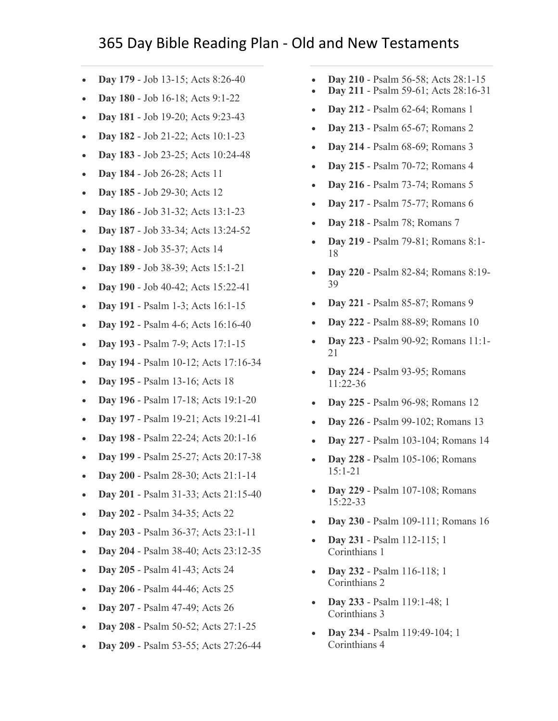## 365 Day Bible Reading Plan - Old and New Testaments

- **Day 179** [Job 13-15; Acts 8:26-40](https://www.biblestudytools.com/passage/?q=Job+13:1-28;+Job+14:1-22;+Job+15:1-35;+Acts+8:26-40)
- **Day 180** [Job 16-18; Acts 9:1-22](https://www.biblestudytools.com/passage/?q=Job+16:1-23;+Job+17:1-16;+Job+18:1-21;+Acts+9:1-22)
- **Day 181** [Job 19-20; Acts 9:23-43](https://www.biblestudytools.com/passage/?q=Job+19:1-29;+Job+20:1-29;+Acts+9:23-43)
- **Day 182** [Job 21-22; Acts 10:1-23](https://www.biblestudytools.com/passage/?q=Job+21:1-34;+Job+22:1-30;+Acts+10:1-23)
- **Day 183** [Job 23-25; Acts 10:24-48](https://www.biblestudytools.com/passage/?q=Job+23:1-17;+Job+24:1-25;+Job+25:1-6;+Acts+10:24-48)
- **Day 184** [Job 26-28; Acts 11](https://www.biblestudytools.com/passage/?q=Job+26:1-14;+Job+27:1-23;+Job+28:1-28;+Acts+11:1-30)
- **Day 185** [Job 29-30; Acts 12](https://www.biblestudytools.com/passage/?q=Job+29:1-25;+Job+30:1-31;+Acts+12:1-25)
- **Day 186** [Job 31-32; Acts 13:1-23](https://www.biblestudytools.com/passage/?q=Job+31:1-40;+Job+32:1-22;+Acts+13:1-23)
- **Day 187** [Job 33-34; Acts 13:24-52](https://www.biblestudytools.com/passage/?q=Job+33:1-33;+Job+34:1-37;+Acts+13:24-52)
- **Day 188** [Job 35-37; Acts 14](https://www.biblestudytools.com/passage/?q=Job+35:1-16;+Job+36:1-33;+Job+37:1-24;+Acts+14:1-28)
- **Day 189** [Job 38-39; Acts 15:1-21](https://www.biblestudytools.com/passage/?q=Job+38:1-41;+Job+39:1-38;+Acts+15:1-21)
- **Day 190** [Job 40-42; Acts 15:22-41](https://www.biblestudytools.com/passage/?q=Job+40:1-28;+Job+41:1-34;+Job+42:1-17;+Acts+15:22-41)
- **Day 191** [Psalm 1-3; Acts 16:1-15](https://www.biblestudytools.com/passage/?q=Psalms+1:1-6;+Psalms+2:1-13;+Psalms+3:1-9;+Acts+16:1-15)
- **Day 192** [Psalm 4-6; Acts 16:16-40](https://www.biblestudytools.com/passage/?q=Psalms+4:1-10;+Psalms+5:1-13;+Psalms+6:1-11;+Acts+16:16-40)
- **Day 193** [Psalm 7-9; Acts 17:1-15](https://www.biblestudytools.com/passage/?q=Psalms+7:1-18;+Psalms+8:1-10;+Psalms+9:1-39;+Acts+17:1-15)
- **Day 194** [Psalm 10-12; Acts 17:16-34](https://www.biblestudytools.com/passage/?q=Psalms+10:1-18;+Psalms+11:1-9;+Psalms+12:1-9;+Acts+17:16-34)
- **Day 195** [Psalm 13-16; Acts 18](https://www.biblestudytools.com/passage/?q=Psalms+13:1-7;+Psalms+14:1-7;+Psalms+15:1-10;+Psalms+16:1-15;+Acts+18:1-28)
- **Day 196** [Psalm 17-18; Acts 19:1-20](https://www.biblestudytools.com/passage/?q=Psalms+17:1-51;+Psalms+18:1-51;+Acts+19:1-20)
- **Day 197** [Psalm 19-21; Acts 19:21-41](https://www.biblestudytools.com/passage/?q=Psalms+19:1-15;+Psalms+20:1-14;+Psalms+21:1-32;+Acts+19:21-41)
- **Day 198** [Psalm 22-24; Acts 20:1-16](https://www.biblestudytools.com/passage/?q=Psalms+22:1-32;+Psalms+23:1-10;+Psalms+24:1-22;+Acts+20:1-16)
- **Day 199** [Psalm 25-27; Acts 20:17-38](https://www.biblestudytools.com/passage/?q=Psalms+25:1-22;+Psalms+26:1-14;+Psalms+27:1-14;+Acts+20:17-38)
- **Day 200** [Psalm 28-30; Acts 21:1-14](https://www.biblestudytools.com/passage/?q=Psalms+28:1-11;+Psalms+29:1-13;+Psalms+30:1-25;+Acts+21:1-14)
- **Day 201** [Psalm 31-33; Acts 21:15-40](https://www.biblestudytools.com/passage/?q=Psalms+31:1-25;+Psalms+32:1-22;+Psalms+33:1-23;+Acts+21:15-40)
- **Day 202** [Psalm 34-35; Acts 22](https://www.biblestudytools.com/passage/?q=Psalms+34:1-28;+Psalms+35:1-28;+Acts+22:1-30)
- **Day 203** [Psalm 36-37; Acts 23:1-11](https://www.biblestudytools.com/passage/?q=Psalms+36:1-40;+Psalms+37:1-40;+Acts+23:1-11)
- **Day 204** [Psalm 38-40; Acts 23:12-35](https://www.biblestudytools.com/passage/?q=Psalms+38:1-23;+Psalms+39:1-18;+Psalms+40:1-18;+Acts+23:12-35)
- **Day 205** [Psalm 41-43; Acts 24](https://www.biblestudytools.com/passage/?q=Psalms+41:1-14;+Psalms+42:1-12;+Psalms+43:1-26;+Acts+24:1-27)
- **Day 206** [Psalm 44-46; Acts 25](https://www.biblestudytools.com/passage/?q=Psalms+44:1-27;+Psalms+45:1-18;+Psalms+46:1-12;+Acts+25:1-27)
- **Day 207** [Psalm 47-49; Acts 26](https://www.biblestudytools.com/passage/?q=Psalms+47:1-15;+Psalms+48:1-21;+Psalms+49:1-23;+Acts+26:1-32)
- **Day 208** [Psalm 50-52; Acts 27:1-25](https://www.biblestudytools.com/passage/?q=Psalms+50:1-23;+Psalms+51:1-21;+Psalms+52:1-11;+Acts+27:1-25)
- **Day 209** [Psalm 53-55; Acts 27:26-44](https://www.biblestudytools.com/passage/?q=Psalms+53:1-9;+Psalms+54:1-24;+Psalms+55:1-24;+Acts+27:26-44)
- **Day 210** [Psalm 56-58; Acts 28:1-15](https://www.biblestudytools.com/passage/?q=Psalms+56:1-14;+Psalms+57:1-12;+Psalms+58:1-18;+Acts+28:1-15)
- **Day 211** [Psalm 59-61; Acts 28:16-31](https://www.biblestudytools.com/passage/?q=Psalms+59:1-18;+Psalms+60:1-14;+Psalms+61:1-13;+Acts+28:16-31)
- **Day 212** [Psalm 62-64; Romans 1](https://www.biblestudytools.com/passage/?q=Psalms+62:1-13;+Psalms+63:1-12;+Psalms+64:1-14;+Romans+1:1-32)
- **Day 213** [Psalm 65-67; Romans 2](https://www.biblestudytools.com/passage/?q=Psalms+65:1-20;+Psalms+66:1-20;+Psalms+67:1-36;+Romans+2:1-29)
- **Day 214** [Psalm 68-69; Romans 3](https://www.biblestudytools.com/passage/?q=Psalms+68:1-37;+Psalms+69:1-37;+Romans+3:1-31)
- **Day 215** [Psalm 70-72; Romans 4](https://www.biblestudytools.com/passage/?q=Psalms+70:1-24;+Psalms+71:1-24;+Psalms+72:1-28;+Romans+4:1-25)
- **Day 216** [Psalm 73-74; Romans 5](https://www.biblestudytools.com/passage/?q=Psalms+73:1-28;+Psalms+74:1-23;+Romans+5:1-21)
- **Day 217** [Psalm 75-77; Romans 6](https://www.biblestudytools.com/passage/?q=Psalms+75:1-13;+Psalms+76:1-21;+Psalms+77:1-72;+Romans+6:1-23)
- **Day 218** [Psalm 78; Romans 7](https://www.biblestudytools.com/passage/?q=Psalms+78:1-72;+Romans+7:1-25)
- **Day 219** [Psalm 79-81; Romans 8:1-](https://www.biblestudytools.com/passage/?q=Psalms+79:1-20;+Psalms+80:1-20;+Psalms+81:1-17;+Romans+8:1-18) [18](https://www.biblestudytools.com/passage/?q=Psalms+79:1-20;+Psalms+80:1-20;+Psalms+81:1-17;+Romans+8:1-18)
- **Day 220** [Psalm 82-84; Romans 8:19-](https://www.biblestudytools.com/passage/?q=Psalms+82:1-19;+Psalms+83:1-19;+Psalms+84:1-14;+Romans+8:19-39) [39](https://www.biblestudytools.com/passage/?q=Psalms+82:1-19;+Psalms+83:1-19;+Psalms+84:1-14;+Romans+8:19-39)
- **Day 221** [Psalm 85-87; Romans 9](https://www.biblestudytools.com/passage/?q=Psalms+85:1-17;+Psalms+86:1-17;+Psalms+87:1-19;+Romans+9:1-33)
- **Day 222** [Psalm 88-89; Romans 10](https://www.biblestudytools.com/passage/?q=Psalms+88:1-53;+Psalms+89:1-53;+Romans+10:1-21)
- **Day 223** [Psalm 90-92; Romans 11:1-](https://www.biblestudytools.com/passage/?q=Psalms+90:1-17;+Psalms+91:1-16;+Psalms+92:1-16;+Romans+11:1-21) [21](https://www.biblestudytools.com/passage/?q=Psalms+90:1-17;+Psalms+91:1-16;+Psalms+92:1-16;+Romans+11:1-21)
- **Day 224** [Psalm 93-95; Romans](https://www.biblestudytools.com/passage/?q=Psalms+93:1-23;+Psalms+94:1-23;+Psalms+95:1-13;+Romans+11:22-36)  [11:22-36](https://www.biblestudytools.com/passage/?q=Psalms+93:1-23;+Psalms+94:1-23;+Psalms+95:1-13;+Romans+11:22-36)
- **Day 225** [Psalm 96-98; Romans 12](https://www.biblestudytools.com/passage/?q=Psalms+96:1-13;+Psalms+97:1-12;+Psalms+98:1-9;+Romans+12:1-21)
- **Day 226** [Psalm 99-102; Romans 13](https://www.biblestudytools.com/passage/?q=Psalms+99:1-9;+Psalms+100:1-8;+Psalms+101:1-29;+Psalms+102:1-29;+Romans+13:1-14)
- **Day 227** [Psalm 103-104; Romans 14](https://www.biblestudytools.com/passage/?q=Psalms+103:1-35;+Psalms+104:1-45;+Romans+14:1-26)
- **Day 228** [Psalm 105-106; Romans](https://www.biblestudytools.com/passage/?q=Psalms+105:1-48;+Psalms+106:1-48;+Romans+15:1-21)  [15:1-21](https://www.biblestudytools.com/passage/?q=Psalms+105:1-48;+Psalms+106:1-48;+Romans+15:1-21)
- **Day 229** [Psalm 107-108; Romans](https://www.biblestudytools.com/passage/?q=Psalms+107:1-43;+Psalms+108:1-31;+Romans+15:22-33)  [15:22-33](https://www.biblestudytools.com/passage/?q=Psalms+107:1-43;+Psalms+108:1-31;+Romans+15:22-33)
- **Day 230** [Psalm 109-111; Romans 16](https://www.biblestudytools.com/passage/?q=Psalms+109:1-31;+Psalms+110:1-10;+Psalms+111:1-10;+Romans+16:1-27)
- **Day 231** [Psalm 112-115; 1](https://www.biblestudytools.com/passage/?q=Psalms+112:1-10;+Psalms+113:1-26;+Psalms+114:1-9;+Psalms+115:1-18;+1+Corinthians+1:1-31)  [Corinthians 1](https://www.biblestudytools.com/passage/?q=Psalms+112:1-10;+Psalms+113:1-26;+Psalms+114:1-9;+Psalms+115:1-18;+1+Corinthians+1:1-31)
- **Day 232** [Psalm 116-118; 1](https://www.biblestudytools.com/passage/?q=Psalms+116:1-19;+Psalms+117:1-29;+Psalms+118:1-176;+1+Corinthians+2:1-16)  [Corinthians 2](https://www.biblestudytools.com/passage/?q=Psalms+116:1-19;+Psalms+117:1-29;+Psalms+118:1-176;+1+Corinthians+2:1-16)
- **Day 233** [Psalm 119:1-48; 1](https://www.biblestudytools.com/passage/?q=Psalms+119:1-48;+1+Corinthians+3:1-23)  [Corinthians 3](https://www.biblestudytools.com/passage/?q=Psalms+119:1-48;+1+Corinthians+3:1-23)
- **Day 234** [Psalm 119:49-104; 1](https://www.biblestudytools.com/passage/?q=Psalms+119:49-104;+1+Corinthians+4:1-21)  [Corinthians 4](https://www.biblestudytools.com/passage/?q=Psalms+119:49-104;+1+Corinthians+4:1-21)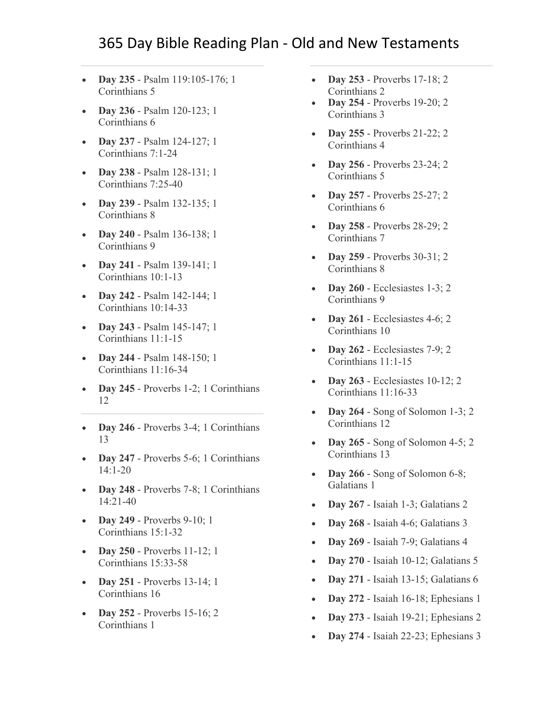- **Day 235** [Psalm 119:105-176; 1](https://www.biblestudytools.com/passage/?q=Psalms+119:105-176;+1+Corinthians+5:1-13)  [Corinthians 5](https://www.biblestudytools.com/passage/?q=Psalms+119:105-176;+1+Corinthians+5:1-13)
- **Day 236** [Psalm 120-123; 1](https://www.biblestudytools.com/passage/?q=Psalms+120:1-8;+Psalms+121:1-9;+Psalms+122:1-9;+Psalms+123:1-8;+1+Corinthians+6:1-20)  [Corinthians 6](https://www.biblestudytools.com/passage/?q=Psalms+120:1-8;+Psalms+121:1-9;+Psalms+122:1-9;+Psalms+123:1-8;+1+Corinthians+6:1-20)
- **Day 237** [Psalm 124-127; 1](https://www.biblestudytools.com/passage/?q=Psalms+124:1-8;+Psalms+125:1-6;+Psalms+126:1-6;+Psalms+127:1-6;+1+Corinthians+7:1-24)  [Corinthians 7:1-24](https://www.biblestudytools.com/passage/?q=Psalms+124:1-8;+Psalms+125:1-6;+Psalms+126:1-6;+Psalms+127:1-6;+1+Corinthians+7:1-24)
- **Day 238** [Psalm 128-131; 1](https://www.biblestudytools.com/passage/?q=Psalms+128:1-8;+Psalms+129:1-8;+Psalms+130:1-8;+Psalms+131:1-18;+1+Corinthians+7:25-40)  [Corinthians 7:25-40](https://www.biblestudytools.com/passage/?q=Psalms+128:1-8;+Psalms+129:1-8;+Psalms+130:1-8;+Psalms+131:1-18;+1+Corinthians+7:25-40)
- **Day 239** [Psalm 132-135; 1](https://www.biblestudytools.com/passage/?q=Psalms+132:1-18;+Psalms+133:1-3;+Psalms+134:1-21;+Psalms+135:1-26;+1+Corinthians+8:1-13)  [Corinthians 8](https://www.biblestudytools.com/passage/?q=Psalms+132:1-18;+Psalms+133:1-3;+Psalms+134:1-21;+Psalms+135:1-26;+1+Corinthians+8:1-13)
- **Day 240** [Psalm 136-138; 1](https://www.biblestudytools.com/passage/?q=Psalms+136:1-26;+Psalms+137:1-9;+Psalms+138:1-24;+1+Corinthians+9:1-27)  [Corinthians 9](https://www.biblestudytools.com/passage/?q=Psalms+136:1-26;+Psalms+137:1-9;+Psalms+138:1-24;+1+Corinthians+9:1-27)
- **Day 241** [Psalm 139-141; 1](https://www.biblestudytools.com/passage/?q=Psalms+139:1-24;+Psalms+140:1-14;+Psalms+141:1-10;+1+Corinthians+10:1-13)  [Corinthians 10:1-13](https://www.biblestudytools.com/passage/?q=Psalms+139:1-24;+Psalms+140:1-14;+Psalms+141:1-10;+1+Corinthians+10:1-13)
- **Day 242** [Psalm 142-144; 1](https://www.biblestudytools.com/passage/?q=Psalms+142:1-12;+Psalms+143:1-15;+Psalms+144:1-21;+1+Corinthians+10:14-33)  [Corinthians 10:14-33](https://www.biblestudytools.com/passage/?q=Psalms+142:1-12;+Psalms+143:1-15;+Psalms+144:1-21;+1+Corinthians+10:14-33)
- **Day 243** [Psalm 145-147; 1](https://www.biblestudytools.com/passage/?q=Psalms+145:1-21;+Psalms+146:1-11;+Psalms+147:1-20;+1+Corinthians+11:1-15)  [Corinthians 11:1-15](https://www.biblestudytools.com/passage/?q=Psalms+145:1-21;+Psalms+146:1-11;+Psalms+147:1-20;+1+Corinthians+11:1-15)
- **Day 244** [Psalm 148-150; 1](https://www.biblestudytools.com/passage/?q=Psalms+148:1-14;+Psalms+149:1-9;+Psalms+150:1-6;+1+Corinthians+11:16-34)  [Corinthians 11:16-34](https://www.biblestudytools.com/passage/?q=Psalms+148:1-14;+Psalms+149:1-9;+Psalms+150:1-6;+1+Corinthians+11:16-34)
- **Day 245** [Proverbs 1-2; 1 Corinthians](https://www.biblestudytools.com/passage/?q=Proverbs+1:1-33;+Proverbs+2:1-22;+1+Corinthians+12:1-31)  [12](https://www.biblestudytools.com/passage/?q=Proverbs+1:1-33;+Proverbs+2:1-22;+1+Corinthians+12:1-31)
- **Day 246** [Proverbs 3-4; 1 Corinthians](https://www.biblestudytools.com/passage/?q=Proverbs+3:1-35;+Proverbs+4:1-27;+1+Corinthians+13:1-13)  [13](https://www.biblestudytools.com/passage/?q=Proverbs+3:1-35;+Proverbs+4:1-27;+1+Corinthians+13:1-13)
- **Day 247** [Proverbs 5-6; 1 Corinthians](https://www.biblestudytools.com/passage/?q=Proverbs+5:1-23;+Proverbs+6:1-35;+1+Corinthians+14:1-20)  [14:1-20](https://www.biblestudytools.com/passage/?q=Proverbs+5:1-23;+Proverbs+6:1-35;+1+Corinthians+14:1-20)
- **Day 248** [Proverbs 7-8; 1 Corinthians](https://www.biblestudytools.com/passage/?q=Proverbs+7:1-27;+Proverbs+8:1-36;+1+Corinthians+14:21-40)  [14:21-40](https://www.biblestudytools.com/passage/?q=Proverbs+7:1-27;+Proverbs+8:1-36;+1+Corinthians+14:21-40)
- **Day 249** [Proverbs 9-10; 1](https://www.biblestudytools.com/passage/?q=Proverbs+9:1-18;+Proverbs+10:1-32;+1+Corinthians+15:1-32)  [Corinthians 15:1-32](https://www.biblestudytools.com/passage/?q=Proverbs+9:1-18;+Proverbs+10:1-32;+1+Corinthians+15:1-32)
- **Day 250** [Proverbs 11-12; 1](https://www.biblestudytools.com/passage/?q=Proverbs+11:1-31;+Proverbs+12:1-28;+1+Corinthians+15:33-58)  [Corinthians 15:33-58](https://www.biblestudytools.com/passage/?q=Proverbs+11:1-31;+Proverbs+12:1-28;+1+Corinthians+15:33-58)
- **Day 251** [Proverbs 13-14; 1](https://www.biblestudytools.com/passage/?q=Proverbs+13:1-25;+Proverbs+14:1-35;+1+Corinthians+16:1-24)  [Corinthians 16](https://www.biblestudytools.com/passage/?q=Proverbs+13:1-25;+Proverbs+14:1-35;+1+Corinthians+16:1-24)
- **Day 252** [Proverbs 15-16; 2](https://www.biblestudytools.com/passage/?q=Proverbs+15:1-33;+Proverbs+16:1-33;+2+Corinthians+1:1-24)  [Corinthians 1](https://www.biblestudytools.com/passage/?q=Proverbs+15:1-33;+Proverbs+16:1-33;+2+Corinthians+1:1-24)
- **Day 253** [Proverbs 17-18; 2](https://www.biblestudytools.com/passage/?q=Proverbs+17:1-28;+Proverbs+18:1-24;+2+Corinthians+2:1-17)  [Corinthians 2](https://www.biblestudytools.com/passage/?q=Proverbs+17:1-28;+Proverbs+18:1-24;+2+Corinthians+2:1-17)
- **Day 254** [Proverbs 19-20; 2](https://www.biblestudytools.com/passage/?q=Proverbs+19:1-29;+Proverbs+20:1-30;+2+Corinthians+3:1-18)  [Corinthians 3](https://www.biblestudytools.com/passage/?q=Proverbs+19:1-29;+Proverbs+20:1-30;+2+Corinthians+3:1-18)
- **Day 255** [Proverbs 21-22; 2](https://www.biblestudytools.com/passage/?q=Proverbs+21:1-31;+Proverbs+22:1-29;+2+Corinthians+4:1-18)  [Corinthians 4](https://www.biblestudytools.com/passage/?q=Proverbs+21:1-31;+Proverbs+22:1-29;+2+Corinthians+4:1-18)
- **Day 256** [Proverbs 23-24; 2](https://www.biblestudytools.com/passage/?q=Proverbs+23:1-35;+Proverbs+24:1-34;+2+Corinthians+5:1-21)  [Corinthians 5](https://www.biblestudytools.com/passage/?q=Proverbs+23:1-35;+Proverbs+24:1-34;+2+Corinthians+5:1-21)
- **Day 257** [Proverbs 25-27; 2](https://www.biblestudytools.com/passage/?q=Proverbs+25:1-28;+Proverbs+26:1-28;+Proverbs+27:1-27;+2+Corinthians+6:1-18)  [Corinthians](https://www.biblestudytools.com/passage/?q=Proverbs+25:1-28;+Proverbs+26:1-28;+Proverbs+27:1-27;+2+Corinthians+6:1-18) 6
- **Day 258** [Proverbs 28-29; 2](https://www.biblestudytools.com/passage/?q=Proverbs+28:1-28;+Proverbs+29:1-27;+2+Corinthians+7:1-16)  [Corinthians 7](https://www.biblestudytools.com/passage/?q=Proverbs+28:1-28;+Proverbs+29:1-27;+2+Corinthians+7:1-16)
- **Day 259** [Proverbs 30-31; 2](https://www.biblestudytools.com/passage/?q=Proverbs+30:1-33;+Proverbs+31:1-31;+2+Corinthians+8:1-24)  [Corinthians 8](https://www.biblestudytools.com/passage/?q=Proverbs+30:1-33;+Proverbs+31:1-31;+2+Corinthians+8:1-24)
- **Day 260** [Ecclesiastes 1-3; 2](https://www.biblestudytools.com/passage/?q=Ecclesiastes+1:1-18;+Ecclesiastes+2:1-26;+Ecclesiastes+3:1-22;+2+Corinthians+9:1-15)  [Corinthians 9](https://www.biblestudytools.com/passage/?q=Ecclesiastes+1:1-18;+Ecclesiastes+2:1-26;+Ecclesiastes+3:1-22;+2+Corinthians+9:1-15)
- **Day 261** [Ecclesiastes 4-6; 2](https://www.biblestudytools.com/passage/?q=Ecclesiastes+4:1-17;+Ecclesiastes+5:1-20;+Ecclesiastes+6:1-12;+2+Corinthians+10:1-18)  [Corinthians 10](https://www.biblestudytools.com/passage/?q=Ecclesiastes+4:1-17;+Ecclesiastes+5:1-20;+Ecclesiastes+6:1-12;+2+Corinthians+10:1-18)
- **Day 262** [Ecclesiastes 7-9; 2](https://www.biblestudytools.com/passage/?q=Ecclesiastes+7:1-30;+Ecclesiastes+8:1-17;+Ecclesiastes+9:1-18;+2+Corinthians+11:1-15)  [Corinthians 11:1-15](https://www.biblestudytools.com/passage/?q=Ecclesiastes+7:1-30;+Ecclesiastes+8:1-17;+Ecclesiastes+9:1-18;+2+Corinthians+11:1-15)
- **Day 263** [Ecclesiastes 10-12; 2](https://www.biblestudytools.com/passage/?q=Ecclesiastes+10:1-20;+Ecclesiastes+11:1-10;+Ecclesiastes+12:1-16;+2+Corinthians+11:16-33)  [Corinthians 11:16-33](https://www.biblestudytools.com/passage/?q=Ecclesiastes+10:1-20;+Ecclesiastes+11:1-10;+Ecclesiastes+12:1-16;+2+Corinthians+11:16-33)
- **Day 264** [Song of Solomon 1-3; 2](https://www.biblestudytools.com/passage/?q=Song+of+Solomon+1:1-17;+Song+of+Solomon+2:1-17;+Song+of+Solomon+3:1-11;+2+Corinthians+12:1-21)  [Corinthians 12](https://www.biblestudytools.com/passage/?q=Song+of+Solomon+1:1-17;+Song+of+Solomon+2:1-17;+Song+of+Solomon+3:1-11;+2+Corinthians+12:1-21)
- **Day 265** [Song of Solomon 4-5; 2](https://www.biblestudytools.com/passage/?q=Song+of+Solomon+4:1-16;+Song+of+Solomon+5:1-17;+2+Corinthians+13:1-14)  [Corinthians 13](https://www.biblestudytools.com/passage/?q=Song+of+Solomon+4:1-16;+Song+of+Solomon+5:1-17;+2+Corinthians+13:1-14)
- **Day 266** [Song of Solomon 6-8;](https://www.biblestudytools.com/passage/?q=Song+of+Solomon+6:1-13;+Song+of+Solomon+7:1-13;+Song+of+Solomon+8:1-14;+Galatians+1:1-24)  [Galatians 1](https://www.biblestudytools.com/passage/?q=Song+of+Solomon+6:1-13;+Song+of+Solomon+7:1-13;+Song+of+Solomon+8:1-14;+Galatians+1:1-24)
- **Day 267** [Isaiah 1-3; Galatians 2](https://www.biblestudytools.com/passage/?q=Isaiah+1:1-31;+Isaiah+2:1-22;+Isaiah+3:1-26;+Galatians+2:1-21)
- **Day 268** [Isaiah 4-6; Galatians 3](https://www.biblestudytools.com/passage/?q=Isaiah+4:1-6;+Isaiah+5:1-30;+Isaiah+6:1-13;+Galatians+3:1-29)
- **Day 269** [Isaiah 7-9; Galatians 4](https://www.biblestudytools.com/passage/?q=Isaiah+7:1-25;+Isaiah+8:1-23;+Isaiah+9:1-21;+Galatians+4:1-31)
- **Day 270** [Isaiah 10-12; Galatians 5](https://www.biblestudytools.com/passage/?q=Isaiah+10:1-34;+Isaiah+11:1-16;+Isaiah+12:1-6;+Galatians+5:1-26)
- **Day 271** [Isaiah 13-15; Galatians 6](https://www.biblestudytools.com/passage/?q=Isaiah+13:1-22;+Isaiah+14:1-32;+Isaiah+15:1-9;+Galatians+6:1-18)
- **Day 272** [Isaiah 16-18; Ephesians 1](https://www.biblestudytools.com/passage/?q=Isaiah+16:1-14;+Isaiah+17:1-14;+Isaiah+18:1-7;+Ephesians+1:1-23)
- **Day 273** [Isaiah 19-21; Ephesians 2](https://www.biblestudytools.com/passage/?q=Isaiah+19:1-25;+Isaiah+20:1-6;+Isaiah+21:1-17;+Ephesians+2:1-22)
- **Day 274** [Isaiah 22-23; Ephesians 3](https://www.biblestudytools.com/passage/?q=Isaiah+22:1-25;+Isaiah+23:1-18;+Ephesians+3:1-21)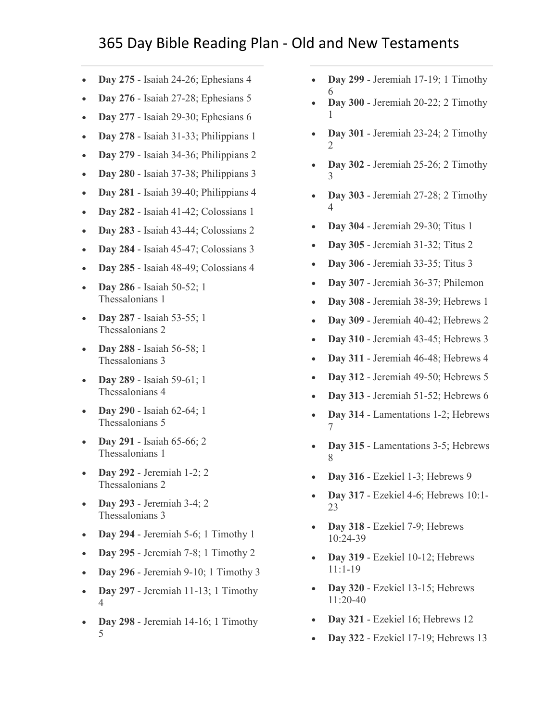- **Day 275** [Isaiah 24-26; Ephesians 4](https://www.biblestudytools.com/passage/?q=Isaiah+24:1-23;+Isaiah+25:1-12;+Isaiah+26:1-21;+Ephesians+4:1-32)
- **Day 276** [Isaiah 27-28; Ephesians 5](https://www.biblestudytools.com/passage/?q=Isaiah+27:1-13;+Isaiah+28:1-29;+Ephesians+5:1-33)
- **Day 277** [Isaiah 29-30; Ephesians 6](https://www.biblestudytools.com/passage/?q=Isaiah+29:1-24;+Isaiah+30:1-33;+Ephesians+6:1-24)
- **Day 278** [Isaiah 31-33; Philippians 1](https://www.biblestudytools.com/passage/?q=Isaiah+31:1-45;+Isaiah+32:1-20;+Isaiah+33:1-24;+Philippians+1:1-30)
- **Day 279** [Isaiah 34-36; Philippians 2](https://www.biblestudytools.com/passage/?q=Isaiah+34:1-17;+Isaiah+35:1-10;+Isaiah+36:1-22;+Philippians+2:1-30)
- **Day 280** [Isaiah 37-38; Philippians 3](https://www.biblestudytools.com/passage/?q=Isaiah+37:1-38;+Isaiah+38:1-22;+Philippians+3:1-21)
- **Day 281** [Isaiah 39-40; Philippians 4](https://www.biblestudytools.com/passage/?q=Isaiah+39:1-8;+Isaiah+40:1-31;+Philippians+4:1-23)
- **Day 282** [Isaiah 41-42; Colossians 1](https://www.biblestudytools.com/passage/?q=Isaiah+41:1-29;+Isaiah+42:1-25;+Colossians+1:1-29)
- **Day 283** [Isaiah 43-44; Colossians 2](https://www.biblestudytools.com/passage/?q=Isaiah+43:1-28;+Isaiah+44:1-28;+Colossians+2:1-23)
- **Day 284** [Isaiah 45-47; Colossians 3](https://www.biblestudytools.com/passage/?q=Isaiah+45:1-25;+Isaiah+46:1-13;+Isaiah+47:1-15;+Colossians+3:1-25)
- **Day 285** [Isaiah 48-49; Colossians 4](https://www.biblestudytools.com/passage/?q=Isaiah+48:1-22;+Isaiah+49:1-26;+Colossians+4:1-18)
- **Day 286** [Isaiah 50-52; 1](https://www.biblestudytools.com/passage/?q=Isaiah+50:1-11;+Isaiah+51:1-23;+Isaiah+52:1-15;+1+Thessalonians+1:1-10)  [Thessalonians 1](https://www.biblestudytools.com/passage/?q=Isaiah+50:1-11;+Isaiah+51:1-23;+Isaiah+52:1-15;+1+Thessalonians+1:1-10)
- **Day 287** [Isaiah 53-55; 1](https://www.biblestudytools.com/passage/?q=Isaiah+53:1-12;+Isaiah+54:1-17;+Isaiah+55:1-13;+1+Thessalonians+2:1-20)  [Thessalonians 2](https://www.biblestudytools.com/passage/?q=Isaiah+53:1-12;+Isaiah+54:1-17;+Isaiah+55:1-13;+1+Thessalonians+2:1-20)
- **Day 288** [Isaiah 56-58; 1](https://www.biblestudytools.com/passage/?q=Isaiah+56:1-12;+Isaiah+57:1-21;+Isaiah+58:1-14;+1+Thessalonians+3:1-13)  [Thessalonians 3](https://www.biblestudytools.com/passage/?q=Isaiah+56:1-12;+Isaiah+57:1-21;+Isaiah+58:1-14;+1+Thessalonians+3:1-13)
- **Day 289** [Isaiah 59-61; 1](https://www.biblestudytools.com/passage/?q=Isaiah+59:1-21;+Isaiah+60:1-22;+Isaiah+61:1-11;+1+Thessalonians+4:1-18)  [Thessalonians 4](https://www.biblestudytools.com/passage/?q=Isaiah+59:1-21;+Isaiah+60:1-22;+Isaiah+61:1-11;+1+Thessalonians+4:1-18)
- **Day 290** [Isaiah 62-64; 1](https://www.biblestudytools.com/passage/?q=Isaiah+62:1-12;+Isaiah+63:1-19;+Isaiah+64:1-12;+1+Thessalonians+5:1-28)  [Thessalonians 5](https://www.biblestudytools.com/passage/?q=Isaiah+62:1-12;+Isaiah+63:1-19;+Isaiah+64:1-12;+1+Thessalonians+5:1-28)
- **Day 291** [Isaiah 65-66; 2](https://www.biblestudytools.com/passage/?q=Isaiah+65:1-25;+Isaiah+66:1-24;+2+Thessalonians+1:1-17)  [Thessalonians 1](https://www.biblestudytools.com/passage/?q=Isaiah+65:1-25;+Isaiah+66:1-24;+2+Thessalonians+1:1-17)
- **Day 292** [Jeremiah 1-2; 2](https://www.biblestudytools.com/passage/?q=Jeremiah+1:1-19;+Jeremiah+2:1-37;+2+Thessalonians+2:1-17)  [Thessalonians 2](https://www.biblestudytools.com/passage/?q=Jeremiah+1:1-19;+Jeremiah+2:1-37;+2+Thessalonians+2:1-17)
- **Day 293** [Jeremiah 3-4; 2](https://www.biblestudytools.com/passage/?q=Jeremiah+3:1-25;+Jeremiah+4:1-31;+2+Thessalonians+3:1-18)  [Thessalonians 3](https://www.biblestudytools.com/passage/?q=Jeremiah+3:1-25;+Jeremiah+4:1-31;+2+Thessalonians+3:1-18)
- **Day 294** [Jeremiah 5-6; 1 Timothy 1](https://www.biblestudytools.com/passage/?q=Jeremiah+5:1-31;+Jeremiah+6:1-30;+1+Timothy+1:1-20)
- **Day 295** [Jeremiah 7-8; 1 Timothy 2](https://www.biblestudytools.com/passage/?q=Jeremiah+7:1-34;+Jeremiah+8:1-22;+1+Timothy+2:1-15)
- **Day 296** [Jeremiah 9-10; 1 Timothy 3](https://www.biblestudytools.com/passage/?q=Jeremiah+9:1-26;+Jeremiah+10:1-25;+1+Timothy+3:1-16)
- **Day 297** [Jeremiah 11-13; 1 Timothy](https://www.biblestudytools.com/passage/?q=Jeremiah+11:1-23;+Jeremiah+12:1-17;+Jeremiah+13:1-27;+1+Timothy+4:1-16)  [4](https://www.biblestudytools.com/passage/?q=Jeremiah+11:1-23;+Jeremiah+12:1-17;+Jeremiah+13:1-27;+1+Timothy+4:1-16)
- **Day 298** [Jeremiah 14-16; 1 Timothy](https://www.biblestudytools.com/passage/?q=Jeremiah+14:1-22;+Jeremiah+15:1-21;+Jeremiah+16:1-21;+1+Timothy+5:1-25)  [5](https://www.biblestudytools.com/passage/?q=Jeremiah+14:1-22;+Jeremiah+15:1-21;+Jeremiah+16:1-21;+1+Timothy+5:1-25)
- **[D](https://www.biblestudytools.com/passage/?q=Jeremiah+17:1-27;+Jeremiah+18:1-23;+Jeremiah+19:1-15;+1+Timothy+6:1-21)ay 299** [Jeremiah 17-19; 1 Timothy](https://www.biblestudytools.com/passage/?q=Jeremiah+17:1-27;+Jeremiah+18:1-23;+Jeremiah+19:1-15;+1+Timothy+6:1-21)  6
- **Day 300** [Jeremiah 20-22; 2 Timothy](https://www.biblestudytools.com/passage/?q=Jeremiah+20:1-18;+Jeremiah+21:1-14;+Jeremiah+22:1-30;+2+Timothy+1:1-18)  [1](https://www.biblestudytools.com/passage/?q=Jeremiah+20:1-18;+Jeremiah+21:1-14;+Jeremiah+22:1-30;+2+Timothy+1:1-18)
- **Day 301** [Jeremiah 23-24; 2 Timothy](https://www.biblestudytools.com/passage/?q=Jeremiah+23:1-40;+Jeremiah+24:1-10;+2+Timothy+2:1-26)  [2](https://www.biblestudytools.com/passage/?q=Jeremiah+23:1-40;+Jeremiah+24:1-10;+2+Timothy+2:1-26)
- **Day 302** [Jeremiah 25-26; 2 Timothy](https://www.biblestudytools.com/passage/?q=Jeremiah+25:1-38;+Jeremiah+26:1-24;+2+Timothy+3:1-17)  [3](https://www.biblestudytools.com/passage/?q=Jeremiah+25:1-38;+Jeremiah+26:1-24;+2+Timothy+3:1-17)
- **Day 303** [Jeremiah 27-28; 2 Timothy](https://www.biblestudytools.com/passage/?q=Jeremiah+27:1-22;+Jeremiah+28:1-17;+2+Timothy+4:1-22)  [4](https://www.biblestudytools.com/passage/?q=Jeremiah+27:1-22;+Jeremiah+28:1-17;+2+Timothy+4:1-22)
- **Day 304** [Jeremiah 29-30; Titus 1](https://www.biblestudytools.com/passage/?q=Jeremiah+29:1-32;+Jeremiah+30:1-24;+Titus+1:1-16)
- **Day 305** [Jeremiah 31-32; Titus 2](https://www.biblestudytools.com/passage/?q=Jeremiah+31:1-40;+Jeremiah+32:1-44;+Titus+2:1-15)
- **Day 306** [Jeremiah 33-35; Titus 3](https://www.biblestudytools.com/passage/?q=Jeremiah+33:1-26;+Jeremiah+34:1-22;+Jeremiah+35:1-19;+Titus+3:1-15)
- **Day 307** [Jeremiah 36-37; Philemon](https://www.biblestudytools.com/passage/?q=Jeremiah+36:1-32;+Jeremiah+37:1-21;+Philemon+1:1-25)
- **Day 308** [Jeremiah 38-39; Hebrews 1](https://www.biblestudytools.com/passage/?q=Jeremiah+38:1-28;+Jeremiah+39:1-18;+Hebrews+1:1-14)
- **Day 309** [Jeremiah 40-42; Hebrews 2](https://www.biblestudytools.com/passage/?q=Jeremiah+40:1-16;+Jeremiah+41:1-18;+Jeremiah+42:1-22;+Hebrews+2:1-18)
- **Day 310** [Jeremiah 43-45; Hebrews 3](https://www.biblestudytools.com/passage/?q=Jeremiah+43:1-13;+Jeremiah+44:1-30;+Jeremiah+45:1-5;+Hebrews+3:1-19)
- **Day 311** [Jeremiah 46-48; Hebrews 4](https://www.biblestudytools.com/passage/?q=Jeremiah+46:1-28;+Jeremiah+47:1-7;+Jeremiah+48:1-47;+Hebrews+4:1-16)
- **Day 312** [Jeremiah 49-50; Hebrews 5](https://www.biblestudytools.com/passage/?q=Jeremiah+49:1-39;+Jeremiah+50:1-46;+Hebrews+5:1-14)
- **Day 313** [Jeremiah 51-52; Hebrews 6](https://www.biblestudytools.com/passage/?q=Jeremiah+51:1-64;+Jeremiah+52:1-745;+Hebrews+6:1-20)
- **Day 314** [Lamentations 1-2; Hebrews](https://www.biblestudytools.com/passage/?q=Lamentations+1:1-22;+Lamentations+2:1-22;+Hebrews+7:1-28)  [7](https://www.biblestudytools.com/passage/?q=Lamentations+1:1-22;+Lamentations+2:1-22;+Hebrews+7:1-28)
- **Day 315** [Lamentations 3-5; Hebrews](https://www.biblestudytools.com/passage/?q=Lamentations+3:1-66;+Lamentations+4:1-22;+Lamentations+5:1-22;+Hebrews+8:1-13)  [8](https://www.biblestudytools.com/passage/?q=Lamentations+3:1-66;+Lamentations+4:1-22;+Lamentations+5:1-22;+Hebrews+8:1-13)
- **Day 316** [Ezekiel 1-3; Hebrews 9](https://www.biblestudytools.com/passage/?q=Ezekiel+1:1-28;+Ezekiel+2:1-10;+Ezekiel+3:1-27;+Hebrews+9:1-28)
- **Day 317** [Ezekiel 4-6; Hebrews 10:1-](https://www.biblestudytools.com/passage/?q=Ezekiel+4:1-17;+Ezekiel+5:1-17;+Ezekiel+6:1-14;+Hebrews+10:1-23) [23](https://www.biblestudytools.com/passage/?q=Ezekiel+4:1-17;+Ezekiel+5:1-17;+Ezekiel+6:1-14;+Hebrews+10:1-23)
- **Day 318** [Ezekiel 7-9; Hebrews](https://www.biblestudytools.com/passage/?q=Ezekiel+7:1-27;+Ezekiel+8:1-18;+Ezekiel+9:1-11;+Hebrews+10:24-39)  [10:24-39](https://www.biblestudytools.com/passage/?q=Ezekiel+7:1-27;+Ezekiel+8:1-18;+Ezekiel+9:1-11;+Hebrews+10:24-39)
- **Day 319** [Ezekiel 10-12; Hebrews](https://www.biblestudytools.com/passage/?q=Ezekiel+10:1-22;+Ezekiel+11:1-25;+Ezekiel+12:1-28;+Hebrews+11:1-19)  [11:1-19](https://www.biblestudytools.com/passage/?q=Ezekiel+10:1-22;+Ezekiel+11:1-25;+Ezekiel+12:1-28;+Hebrews+11:1-19)
- **Day 320** [Ezekiel 13-15; Hebrews](https://www.biblestudytools.com/passage/?q=Ezekiel+13:1-23;+Ezekiel+14:1-23;+Ezekiel+15:1-8;+Hebrews+11:20-40)  [11:20-40](https://www.biblestudytools.com/passage/?q=Ezekiel+13:1-23;+Ezekiel+14:1-23;+Ezekiel+15:1-8;+Hebrews+11:20-40)
- **Day 321** [Ezekiel 16; Hebrews 12](https://www.biblestudytools.com/passage/?q=Ezekiel+16:1-63;+Hebrews+12:1-29)
- **Day 322** [Ezekiel 17-19; Hebrews 13](https://www.biblestudytools.com/passage/?q=Ezekiel+17:1-24;+Ezekiel+18:1-32;+Ezekiel+19:1-14;+Hebrews+13:1-25)